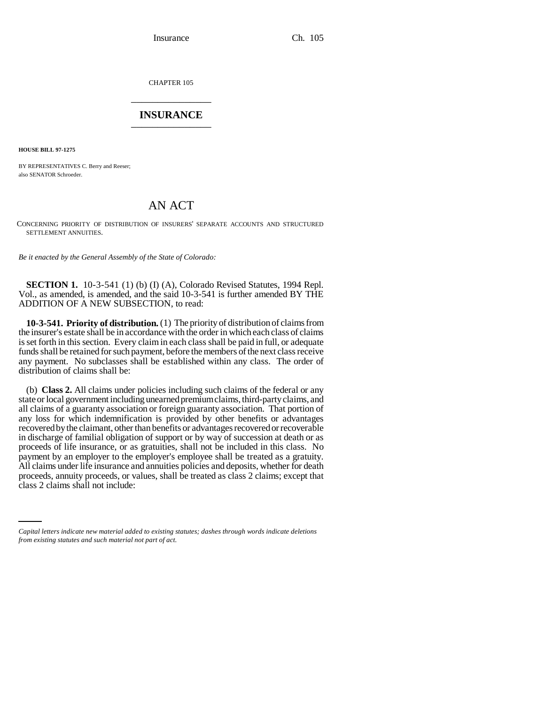Insurance Ch. 105

CHAPTER 105 \_\_\_\_\_\_\_\_\_\_\_\_\_\_\_

## **INSURANCE** \_\_\_\_\_\_\_\_\_\_\_\_\_\_\_

**HOUSE BILL 97-1275**

BY REPRESENTATIVES C. Berry and Reeser; also SENATOR Schroeder.

## AN ACT

CONCERNING PRIORITY OF DISTRIBUTION OF INSURERS' SEPARATE ACCOUNTS AND STRUCTURED SETTLEMENT ANNUITIES.

*Be it enacted by the General Assembly of the State of Colorado:*

**SECTION 1.** 10-3-541 (1) (b) (I) (A), Colorado Revised Statutes, 1994 Repl. Vol., as amended, is amended, and the said 10-3-541 is further amended BY THE ADDITION OF A NEW SUBSECTION, to read:

**10-3-541. Priority of distribution.** (1) The priority of distribution of claims from the insurer's estate shall be in accordance with the order in which each class of claims is set forth in this section. Every claim in each class shall be paid in full, or adequate funds shall be retained for such payment, before the members of the next class receive any payment. No subclasses shall be established within any class. The order of distribution of claims shall be:

proceeds, annuity proceeds, or values, shall be treated as class 2 claims; except that (b) **Class 2.** All claims under policies including such claims of the federal or any state or local government including unearned premium claims, third-party claims, and all claims of a guaranty association or foreign guaranty association. That portion of any loss for which indemnification is provided by other benefits or advantages recovered by the claimant, other than benefits or advantages recovered or recoverable in discharge of familial obligation of support or by way of succession at death or as proceeds of life insurance, or as gratuities, shall not be included in this class. No payment by an employer to the employer's employee shall be treated as a gratuity. All claims under life insurance and annuities policies and deposits, whether for death class 2 claims shall not include:

*Capital letters indicate new material added to existing statutes; dashes through words indicate deletions from existing statutes and such material not part of act.*